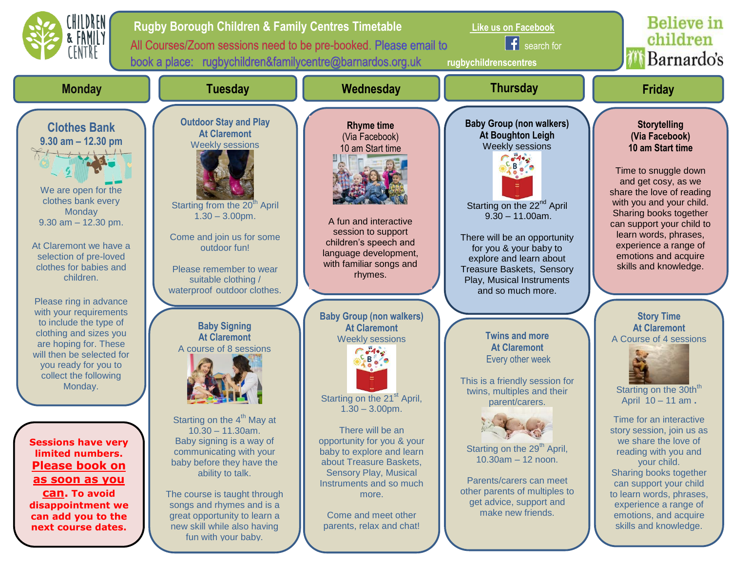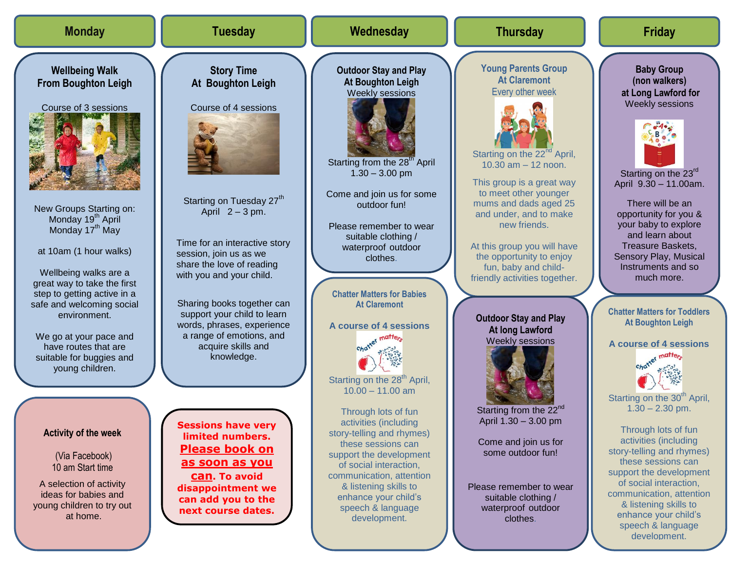| <b>Monday</b>                                                                                                                                                                                                                                                                                                                        | <b>Tuesday</b>                                                                                                                                                                                                                                                                                                                             | Wednesday                                                                                                                                                                                                                                                                                                                                                          | <b>Thursday</b>                                                                                                                                                                                                                                                                                                                                                                                                        | <b>Friday</b>                                                                                                                                                                                                                                                                                                                                                                     |
|--------------------------------------------------------------------------------------------------------------------------------------------------------------------------------------------------------------------------------------------------------------------------------------------------------------------------------------|--------------------------------------------------------------------------------------------------------------------------------------------------------------------------------------------------------------------------------------------------------------------------------------------------------------------------------------------|--------------------------------------------------------------------------------------------------------------------------------------------------------------------------------------------------------------------------------------------------------------------------------------------------------------------------------------------------------------------|------------------------------------------------------------------------------------------------------------------------------------------------------------------------------------------------------------------------------------------------------------------------------------------------------------------------------------------------------------------------------------------------------------------------|-----------------------------------------------------------------------------------------------------------------------------------------------------------------------------------------------------------------------------------------------------------------------------------------------------------------------------------------------------------------------------------|
| <b>Wellbeing Walk</b><br><b>From Boughton Leigh</b><br>Course of 3 sessions<br>New Groups Starting on:<br>Monday 19 <sup>th</sup> April<br>Monday 17 <sup>th</sup> May<br>at 10am (1 hour walks)<br>Wellbeing walks are a<br>great way to take the first<br>step to getting active in a<br>safe and welcoming social<br>environment. | <b>Story Time</b><br>At Boughton Leigh<br>Course of 4 sessions<br>Starting on Tuesday 27 <sup>th</sup><br>April $2 - 3$ pm.<br>Time for an interactive story<br>session, join us as we<br>share the love of reading<br>with you and your child.<br>Sharing books together can<br>support your child to learn<br>words, phrases, experience | <b>Outdoor Stay and Play</b><br><b>At Boughton Leigh</b><br>Weekly sessions<br>Starting from the 28 <sup>th</sup> April<br>$1.30 - 3.00$ pm<br>Come and join us for some<br>outdoor fun!<br>Please remember to wear<br>suitable clothing /<br>waterproof outdoor<br>clothes.<br><b>Chatter Matters for Babies</b><br><b>At Claremont</b><br>A course of 4 sessions | <b>Young Parents Group</b><br><b>At Claremont</b><br>Every other week<br>Starting on the 22 <sup>nd</sup> April,<br>10.30 $am - 12$ noon.<br>This group is a great way<br>to meet other younger<br>mums and dads aged 25<br>and under, and to make<br>new friends.<br>At this group you will have<br>the opportunity to enjoy<br>fun, baby and child-<br>friendly activities together.<br><b>Outdoor Stay and Play</b> | <b>Baby Group</b><br>(non walkers)<br>at Long Lawford for<br>Weekly sessions<br>Starting on the 23rd<br>April 9.30 - 11.00am.<br>There will be an<br>opportunity for you &<br>your baby to explore<br>and learn about<br><b>Treasure Baskets,</b><br>Sensory Play, Musical<br>Instruments and so<br>much more.<br><b>Chatter Matters for Toddlers</b><br><b>At Boughton Leigh</b> |
| We go at your pace and<br>have routes that are<br>suitable for buggies and<br>young children.<br><b>Activity of the week</b><br>(Via Facebook)<br>10 am Start time<br>A selection of activity<br>ideas for babies and<br>young children to try out<br>at home.                                                                       | a range of emotions, and<br>acquire skills and<br>knowledge.<br><b>Sessions have very</b><br>limited numbers.<br><b>Please book on</b><br>as soon as you<br><b>Can. To avoid</b><br>disappointment we<br>can add you to the<br>next course dates.                                                                                          | Starting on the 28 <sup>th</sup> April,<br>$10.00 - 11.00$ am<br>Through lots of fun<br>activities (including<br>story-telling and rhymes)<br>these sessions can<br>support the development<br>of social interaction,<br>communication, attention<br>& listening skills to<br>enhance your child's<br>speech & language<br>development.                            | <b>At long Lawford</b><br><b>Weekly sessions</b><br>Starting from the 22 <sup>nd</sup><br>April 1.30 - 3.00 pm<br>Come and join us for<br>some outdoor fun!<br>Please remember to wear<br>suitable clothing /<br>waterproof outdoor<br>clothes.                                                                                                                                                                        | A course of 4 sessions<br>Starting on the 30 <sup>th</sup> April,<br>$1.30 - 2.30$ pm.<br>Through lots of fun<br>activities (including<br>story-telling and rhymes)<br>these sessions can<br>support the development<br>of social interaction,<br>communication, attention<br>& listening skills to<br>enhance your child's<br>speech & language<br>development.                  |